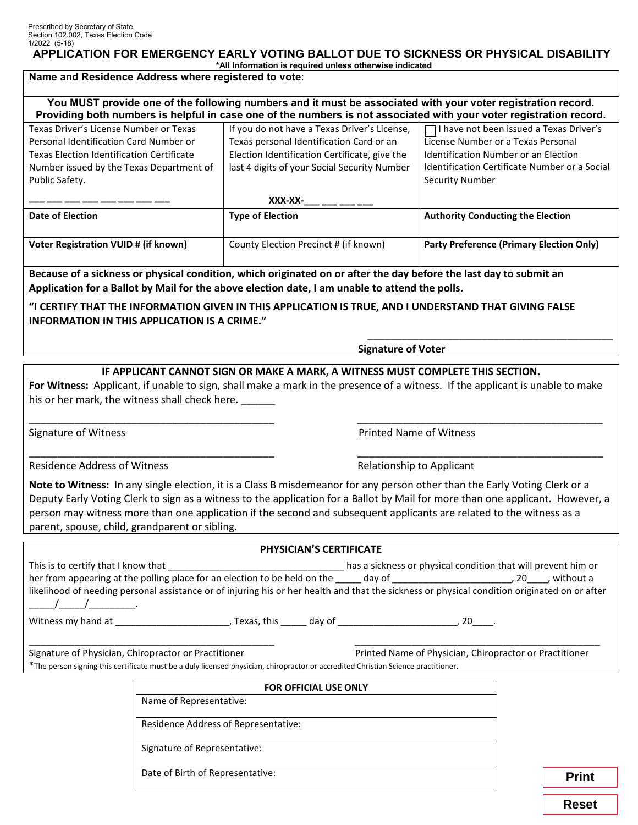## **APPLICATION FOR EMERGENCY EARLY VOTING BALLOT DUE TO SICKNESS OR PHYSICAL DISABILITY**

#### **\*All Information is required unless otherwise indicated**

## **Name and Residence Address where registered to vote**:

**You MUST provide one of the following numbers and it must be associated with your voter registration record. Providing both numbers is helpful in case one of the numbers is not associated with your voter registration record.**

| Texas Driver's License Number or Texas           | If you do not have a Texas Driver's License,  | $\Box$ I have not been issued a Texas Driver's       |
|--------------------------------------------------|-----------------------------------------------|------------------------------------------------------|
| Personal Identification Card Number or           | Texas personal Identification Card or an      | License Number or a Texas Personal                   |
| <b>Texas Election Identification Certificate</b> | Election Identification Certificate, give the | Identification Number or an Election                 |
| Number issued by the Texas Department of         | last 4 digits of your Social Security Number  | <b>Identification Certificate Number or a Social</b> |
| Public Safety.                                   |                                               | <b>Security Number</b>                               |
|                                                  |                                               |                                                      |
|                                                  | XXX-XX-                                       |                                                      |
|                                                  |                                               |                                                      |
| Date of Election                                 | <b>Type of Election</b>                       | <b>Authority Conducting the Election</b>             |
|                                                  |                                               |                                                      |
| Voter Registration VUID # (if known)             | County Election Precinct # (if known)         | Party Preference (Primary Election Only)             |

**Because of a sickness or physical condition, which originated on or after the day before the last day to submit an Application for a Ballot by Mail for the above election date, I am unable to attend the polls.** 

**"I CERTIFY THAT THE INFORMATION GIVEN IN THIS APPLICATION IS TRUE, AND I UNDERSTAND THAT GIVING FALSE INFORMATION IN THIS APPLICATION IS A CRIME."**

**Signature of Voter**

\_\_\_\_\_\_\_\_\_\_\_\_\_\_\_\_\_\_\_\_\_\_\_\_\_\_\_\_\_\_\_\_\_\_\_\_\_\_\_\_\_\_\_

#### **IF APPLICANT CANNOT SIGN OR MAKE A MARK, A WITNESS MUST COMPLETE THIS SECTION.**

**For Witness:** Applicant, if unable to sign, shall make a mark in the presence of a witness. If the applicant is unable to make his or her mark, the witness shall check here.

\_\_\_\_\_\_\_\_\_\_\_\_\_\_\_\_\_\_\_\_\_\_\_\_\_\_\_\_\_\_\_\_\_\_\_\_\_\_\_\_\_\_\_ \_\_\_\_\_\_\_\_\_\_\_\_\_\_\_\_\_\_\_\_\_\_\_\_\_\_\_\_\_\_\_\_\_\_\_\_\_\_\_\_\_\_\_

\_\_\_\_\_\_\_\_\_\_\_\_\_\_\_\_\_\_\_\_\_\_\_\_\_\_\_\_\_\_\_\_\_\_\_\_\_\_\_\_\_\_\_ \_\_\_\_\_\_\_\_\_\_\_\_\_\_\_\_\_\_\_\_\_\_\_\_\_\_\_\_\_\_\_\_\_\_\_\_\_\_\_\_\_\_\_

Signature of Witness **Printed Name of Witness** Printed Name of Witness

Residence Address of Witness **Relationship to Applicant** Relationship to Applicant

**Note to Witness:** In any single election, it is a Class B misdemeanor for any person other than the Early Voting Clerk or a Deputy Early Voting Clerk to sign as a witness to the application for a Ballot by Mail for more than one applicant. However, a person may witness more than one application if the second and subsequent applicants are related to the witness as a parent, spouse, child, grandparent or sibling.

#### **PHYSICIAN'S CERTIFICATE**

| This is to certify that I know that                                                                                                           |             |        | has a sickness or physical condition that will prevent him or |             |  |
|-----------------------------------------------------------------------------------------------------------------------------------------------|-------------|--------|---------------------------------------------------------------|-------------|--|
| her from appearing at the polling place for an election to be held on the                                                                     |             | day of | . 20                                                          | . without a |  |
| likelihood of needing personal assistance or of injuring his or her health and that the sickness or physical condition originated on or after |             |        |                                                               |             |  |
| $\overline{1}$                                                                                                                                |             |        |                                                               |             |  |
| Witness my hand at                                                                                                                            | Texas, this | dav of |                                                               |             |  |

\_\_\_\_\_\_\_\_\_\_\_\_\_\_\_\_\_\_\_\_\_\_\_\_\_\_\_\_\_\_\_\_\_\_\_\_\_\_\_\_\_\_\_ \_\_\_\_\_\_\_\_\_\_\_\_\_\_\_\_\_\_\_\_\_\_\_\_\_\_\_\_\_\_\_\_\_\_\_\_\_\_\_\_\_\_\_ Signature of Physician, Chiropractor or Practitioner Printed Name of Physician, Chiropractor or Practitioner \*The person signing this certificate must be a duly licensed physician, chiropractor or accredited Christian Science practitioner.

| <b>FOR OFFICIAL USE ONLY</b>         |              |
|--------------------------------------|--------------|
| Name of Representative:              |              |
| Residence Address of Representative: |              |
| Signature of Representative:         |              |
| Date of Birth of Representative:     | <b>Drint</b> |

**Reset**